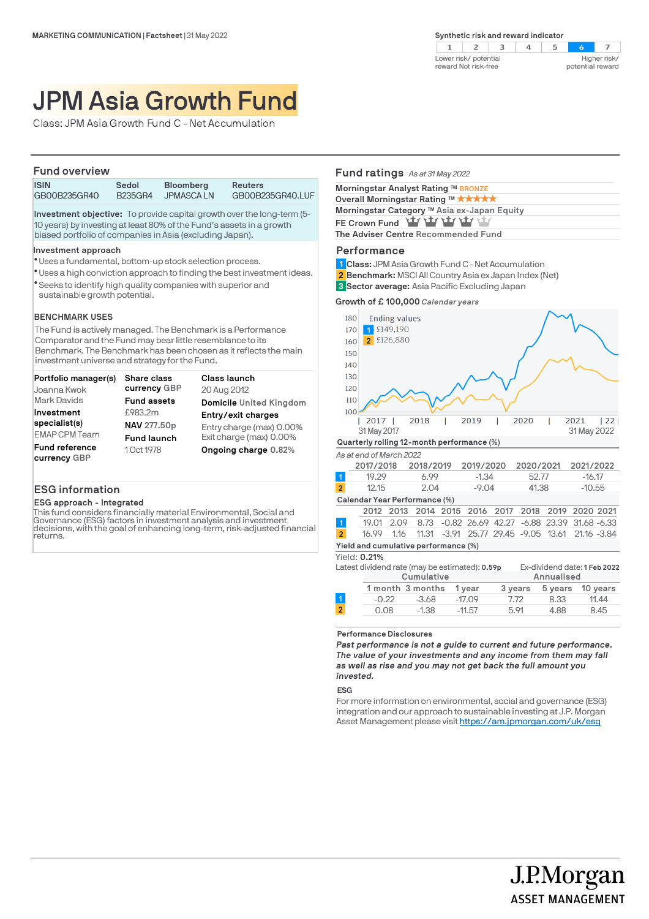$2 \mid 3$  $4$  $\overline{z}$  $\mathbf{1}$ -5  $\sim$ Lower risk/ potential Higher risk/ reward Not risk-free potential reward

# JPM Asia Growth Fund

Class: JPM Asia Growth Fund C - Net Accumulation

#### **Fund overview**

| <b>ISIN</b>  | Sedol   | <b>Bloomberg</b> | <b>Reuters</b>   |
|--------------|---------|------------------|------------------|
| GB00B235GR40 | B235GR4 | <b>JPMASCALN</b> | GB00B235GR40.LUF |

**Investment objective:** To provide capital growth over the long-term (5- 10 years) by investing at least 80% of the Fund's assets in a growth biased portfolio of companies in Asia (excluding Japan).

#### **Investment approach**

- Uses a fundamental, bottom-up stock selection process. l
- Uses a high conviction approach to finding the best investment ideas. l
- Seeks to identify high quality companies with superior and l sustainable growth potential.

## **BENCHMARK USES**

The Fund is actively managed. The Benchmark is a Performance Comparator and the Fund may bear little resemblance to its Benchmark. The Benchmark has been chosen as it reflects the main investment universe and strategy for the Fund.

| Portfolio manager(s)           | <b>Share class</b> | Class launch             |
|--------------------------------|--------------------|--------------------------|
| Joanna Kwok                    | currency GBP       | 20 Aug 2012              |
| <b>Mark Davids</b>             | <b>Fund assets</b> | Domicile United Kingdom  |
| Investment                     | £983.2m            | Entry/exit charges       |
| specialist(s)                  | NAV 277.50p        | Entry charge (max) 0.00% |
| <b>EMAP CPM Team</b>           | <b>Fund launch</b> | Exit charge (max) 0.00%  |
| Fund reference<br>currency GBP | 1 Oct 1978         | Ongoing charge 0.82%     |

## **ESG information**

#### **ESG approach - Integrated**

This fund considers financially material Environmental, Social and Governance (ESG) factors in investment analysis and investment decisions, with the goal of enhancing long-term, risk-adjusted financial returns.

## **Fund ratings** *As at 31 May 2022*

| Morningstar Analyst Rating ™ BRONZE         |
|---------------------------------------------|
| Overall Morningstar Rating ™ ★★★★★          |
| Morningstar Category ™ Asia ex-Japan Equity |
| FE Crown Fund Yay Yay Yay Yay Yay           |
| The Adviser Centre Recommended Fund         |
|                                             |

## **Performance**

- **Class:** JPM Asia Growth Fund C Net Accumulation **1**
- **Benchmark:** MSCI All Country Asia ex Japan Index (Net) **2**
- **Sector average:** Asia Pacific Excluding Japan **3**

**Growth of £ 100,000** *Calendar years*



|                               | 2017/2018                            |      | 2018/2019                                         |  | 2019/2020                                       |  | 2020/2021 | 2021/2022 |  |
|-------------------------------|--------------------------------------|------|---------------------------------------------------|--|-------------------------------------------------|--|-----------|-----------|--|
| l 1'                          | 19.29                                |      | 6.99                                              |  | $-1.34$                                         |  | 52.77     | $-16.17$  |  |
| $\overline{2}$                | 12.15                                |      | 2.04                                              |  | $-9.04$                                         |  | 41.38     | $-10.55$  |  |
| Calendar Year Performance (%) |                                      |      |                                                   |  |                                                 |  |           |           |  |
|                               |                                      |      | 2012 2013 2014 2015 2016 2017 2018 2019 2020 2021 |  |                                                 |  |           |           |  |
| $\vert$ 1                     | 19.01 2.09                           |      |                                                   |  | 8.73 -0.82 26.69 42.27 -6.88 23.39 31.68 -6.33  |  |           |           |  |
| $\overline{2}$                | 16.99                                | 1.16 |                                                   |  | 11.31 -3.91 25.77 29.45 -9.05 13.61 21.16 -3.84 |  |           |           |  |
|                               | Yield and cumulative performance (%) |      |                                                   |  |                                                 |  |           |           |  |

Yield: **0.21%**

| Latest dividend rate (may be estimated): 0.59p |            |                  |          |         | Ex-dividend date: 1 Feb 2022 |          |  |
|------------------------------------------------|------------|------------------|----------|---------|------------------------------|----------|--|
|                                                | Cumulative |                  |          |         | Annualised                   |          |  |
|                                                |            | 1 month 3 months | 1 vear   | 3 years | 5 years                      | 10 vears |  |
|                                                | $-0.22$    | $-3.68$          | $-17.09$ | 7.72    | 8.33                         | 11.44    |  |
| $\overline{2}$                                 | 0.08       | $-1.38$          | $-11.57$ | 5.91    | 4.88                         | 8.45     |  |
|                                                |            |                  |          |         |                              |          |  |

#### **Performance Disclosures**

*Past performance is not a guide to current and future performance. The value of your investments and any income from them may fall as well as rise and you may not get back the full amount you invested.* 

**ESG**

For more information on environmental, social and governance (ESG) integration and our approach to sustainable investing at J.P. Morgan Asset Management please visit https://am.jpmorgan.com/uk/esg

> J.P.Morgan **ASSET MANAGEMENT**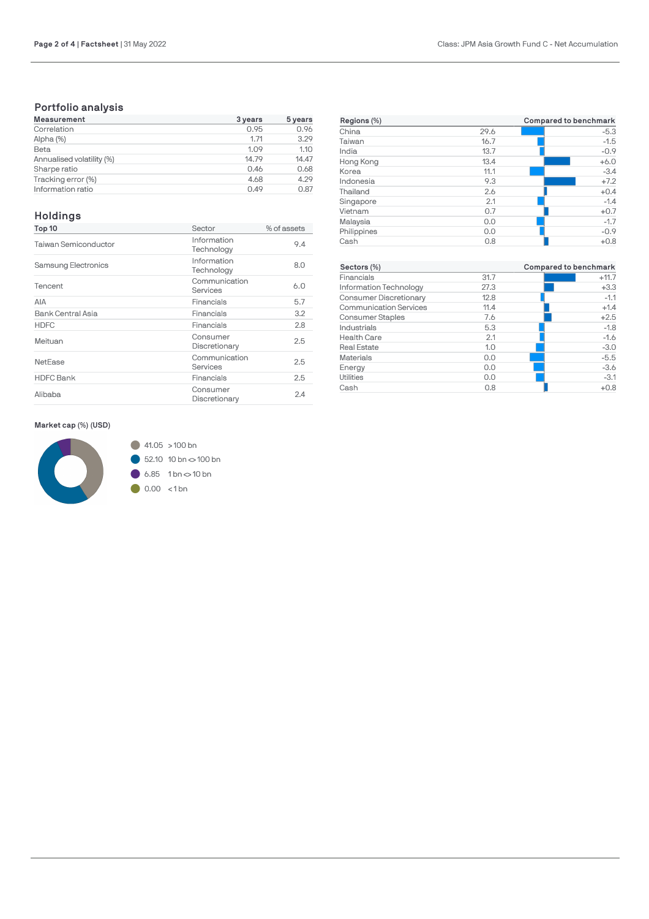# **Portfolio analysis**

| <b>Measurement</b>        | 3 years | 5 years |
|---------------------------|---------|---------|
| Correlation               | 0.95    | 0.96    |
| Alpha (%)                 | 1.71    | 3.29    |
| Beta                      | 1.09    | 1.10    |
| Annualised volatility (%) | 14.79   | 14.47   |
| Sharpe ratio              | 0.46    | 0.68    |
| Tracking error (%)        | 4.68    | 4.29    |
| Information ratio         | 0.49    | 0.87    |

# **Holdings**

| Top 10               | Sector                    | % of assets |
|----------------------|---------------------------|-------------|
| Taiwan Semiconductor | Information<br>Technology | 9.4         |
| Samsung Electronics  | Information<br>Technology | 8.0         |
| Tencent              | Communication<br>Services | 6.0         |
| AIA                  | Financials                | 5.7         |
| Bank Central Asia    | Financials                | 3.2         |
| <b>HDFC</b>          | Financials                | 2.8         |
| Meituan              | Consumer<br>Discretionary | 2.5         |
| NetEase              | Communication<br>Services | 2.5         |
| <b>HDFC Bank</b>     | Financials                | 2.5         |
| Alibaba              | Consumer<br>Discretionary | 2.4         |

| Regions (%) |      | Compared to benchmark |
|-------------|------|-----------------------|
| China       | 29.6 | $-5.3$                |
| Taiwan      | 16.7 | $-1.5$                |
| India       | 13.7 | $-0.9$                |
| Hong Kong   | 13.4 | $+6.0$                |
| Korea       | 11.1 | $-3.4$                |
| Indonesia   | 9.3  | $+7.2$                |
| Thailand    | 2.6  | $+0.4$                |
| Singapore   | 2.1  | $-1.4$                |
| Vietnam     | 0.7  | $+0.7$                |
| Malaysia    | 0.0  | $-1.7$                |
| Philippines | 0.0  | $-0.9$                |
| Cash        | 0.8  | $+0.8$                |
|             |      |                       |

|      | Compared to benchmark |
|------|-----------------------|
| 31.7 | $+11.7$               |
| 27.3 | $+3.3$                |
| 12.8 | $-1.1$                |
| 11.4 | $+1.4$                |
| 7.6  | $+2.5$                |
| 5.3  | $-1.8$                |
| 2.1  | $-1.6$                |
| 1.0  | $-3.0$                |
| 0.0  | $-5.5$                |
| 0.0  | $-3.6$                |
| 0.0  | $-3.1$                |
| 0.8  | $+0.8$                |
|      |                       |

## **Market cap (%) (USD)**

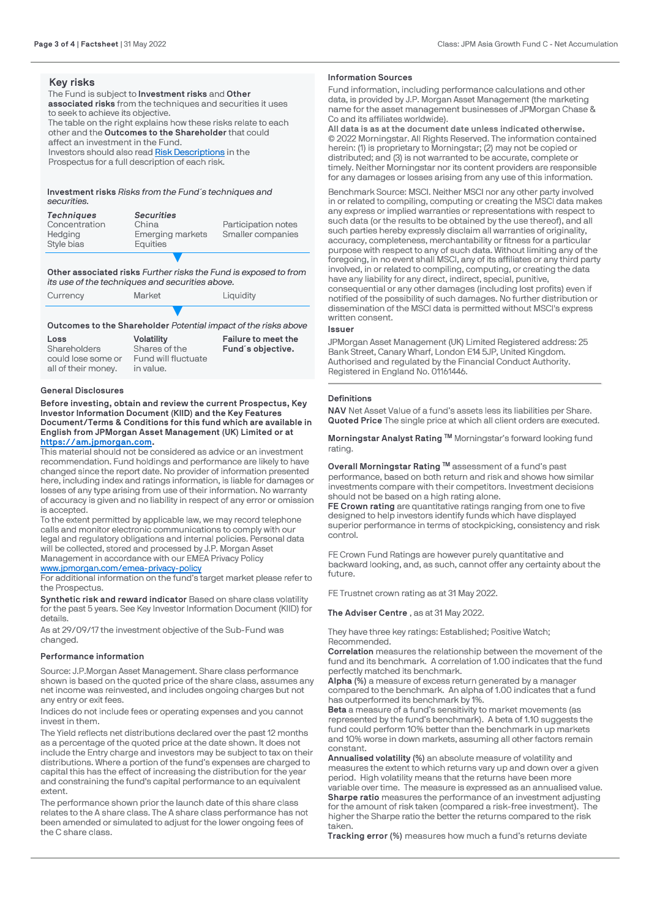## **Key risks**

The Fund is subject to **Investment risks** and **Other associated risks** from the techniques and securities it uses to seek to achieve its objective. The table on the right explains how these risks relate to each other and the **Outcomes to the Shareholder** that could affect an investment in the Fund.

Investors should also read [Risk Descriptions](https://am.jpmorgan.com/gb/en/asset-management/adv/products/fund-explorer/oeics) in the

Prospectus for a full description of each risk.

#### **Investment risks** *Risks from the Fund´s techniques and securities.*

| <b>Techniques</b><br>Concentration<br>Hedging<br>Style bias | <b>Securities</b><br>China<br>Emerging markets<br>Equities | Participation notes<br>Smaller companies |
|-------------------------------------------------------------|------------------------------------------------------------|------------------------------------------|
|                                                             |                                                            |                                          |

#### **Other associated risks** *Further risks the Fund is exposed to from its use of the techniques and securities above.*

| Currency | Market | Liquidity |
|----------|--------|-----------|
|          |        |           |

#### **Outcomes to the Shareholder** *Potential impact of the risks above*

| Loss                | <b>Volatility</b>   | Failure to meet the |
|---------------------|---------------------|---------------------|
| Shareholders        | Shares of the       | Fund's objective.   |
| could lose some or  | Fund will fluctuate |                     |
| all of their money. | in value.           |                     |

## **General Disclosures**

**Before investing, obtain and review the current Prospectus, Key Investor Information Document (KIID) and the Key Features Document/Terms & Conditions for this fund which are available in English from JPMorgan Asset Management (UK) Limited or at [https://am.jpmorgan.com](https://am.jpmorgan.com/).** 

This material should not be considered as advice or an investment recommendation. Fund holdings and performance are likely to have changed since the report date. No provider of information presented here, including index and ratings information, is liable for damages or losses of any type arising from use of their information. No warranty of accuracy is given and no liability in respect of any error or omission is accepted.

To the extent permitted by applicable law, we may record telephone calls and monitor electronic communications to comply with our legal and regulatory obligations and internal policies. Personal data will be collected, stored and processed by J.P. Morgan Asset Management in accordance with our EMEA Privacy Policy [www.jpmorgan.com/emea-privacy-policy](https://www.jpmorgan.com/emea-privacy-policy)

For additional information on the fund's target market please refer to the Prospectus.

**Synthetic risk and reward indicator** Based on share class volatility for the past 5 years. See Key Investor Information Document (KIID) for details.

As at 29/09/17 the investment objective of the Sub-Fund was changed.

#### **Performance information**

Source: J.P.Morgan Asset Management. Share class performance shown is based on the quoted price of the share class, assumes any net income was reinvested, and includes ongoing charges but not any entry or exit fees.

Indices do not include fees or operating expenses and you cannot invest in them.

The Yield reflects net distributions declared over the past 12 months as a percentage of the quoted price at the date shown. It does not include the Entry charge and investors may be subject to tax on their distributions. Where a portion of the fund's expenses are charged to capital this has the effect of increasing the distribution for the year and constraining the fund's capital performance to an equivalent extent.

The performance shown prior the launch date of this share class relates to the A share class. The A share class performance has not been amended or simulated to adjust for the lower ongoing fees of the C share class.

## **Information Sources**

Fund information, including performance calculations and other data, is provided by J.P. Morgan Asset Management (the marketing name for the asset management businesses of JPMorgan Chase & [Co and its affiliates worldwide](https://am.jpmorgan.com/)).

**All data is as at the document date unless indicated otherwise.** © 2022 Morningstar. All Rights Reserved. The information contained herein: (1) is proprietary to Morningstar; (2) may not be copied or distributed; and (3) is not warranted to be accurate, complete or timely. Neither Morningstar nor its content providers are responsible for any damages or losses arising from any use of this information.

Benchmark Source: MSCI. Neither MSCI nor any other party involved in or related to compiling, computing or creating the MSCI data makes any express or implied warranties or representations with respect to such data (or the results to be obtained by the use thereof), and all such parties hereby expressly disclaim all warranties of originality, accuracy, completeness, merchantability or fitness for a particular [purpose with respect to any of such data](https://www.jpmorgan.com/emea-privacy-policy). Without limiting any of the foregoing, in no event shall MSCI, any of its affiliates or any third party involved, in or related to compiling, computing, or creating the data have any liability for any direct, indirect, special, punitive, consequential or any other damages (including lost profits) even if notified of the possibility of such damages. No further distribution or dissemination of the MSCI data is permitted without MSCI's express written consent.

#### **Issuer**

JPMorgan Asset Management (UK) Limited Registered address: 25 Bank Street, Canary Wharf, London E14 5JP, United Kingdom. Authorised and regulated by the Financial Conduct Authority. Registered in England No. 01161446.

## **Definitions**

**NAV** Net Asset Value of a fund's assets less its liabilities per Share. **Quoted Price** The single price at which all client orders are executed.

**Morningstar Analyst Rating ™** Morningstar's forward looking fund rating.

**Overall Morningstar Rating ™** assessment of a fund's past performance, based on both return and risk and shows how similar investments compare with their competitors. Investment decisions should not be based on a high rating alone.

**FE Crown rating** are quantitative ratings ranging from one to five designed to help investors identify funds which have displayed superior performance in terms of stockpicking, consistency and risk control.

FE Crown Fund Ratings are however purely quantitative and backward looking, and, as such, cannot offer any certainty about the future.

FE Trustnet crown rating as at 31 May 2022.

**The Adviser Centre** , as at 31 May 2022.

They have three key ratings: Established; Positive Watch; Recommended.

**Correlation** measures the relationship between the movement of the fund and its benchmark. A correlation of 1.00 indicates that the fund perfectly matched its benchmark.

**Alpha (%)** a measure of excess return generated by a manager compared to the benchmark. An alpha of 1.00 indicates that a fund has outperformed its benchmark by 1%.

**Beta** a measure of a fund's sensitivity to market movements (as represented by the fund's benchmark). A beta of 1.10 suggests the fund could perform 10% better than the benchmark in up markets and 10% worse in down markets, assuming all other factors remain constant.

**Annualised volatility (%)** an absolute measure of volatility and measures the extent to which returns vary up and down over a given period. High volatility means that the returns have been more variable over time. The measure is expressed as an annualised value. **Sharpe ratio** measures the performance of an investment adjusting for the amount of risk taken (compared a risk-free investment). The higher the Sharpe ratio the better the returns compared to the risk taken.

**Tracking error (%)** measures how much a fund's returns deviate